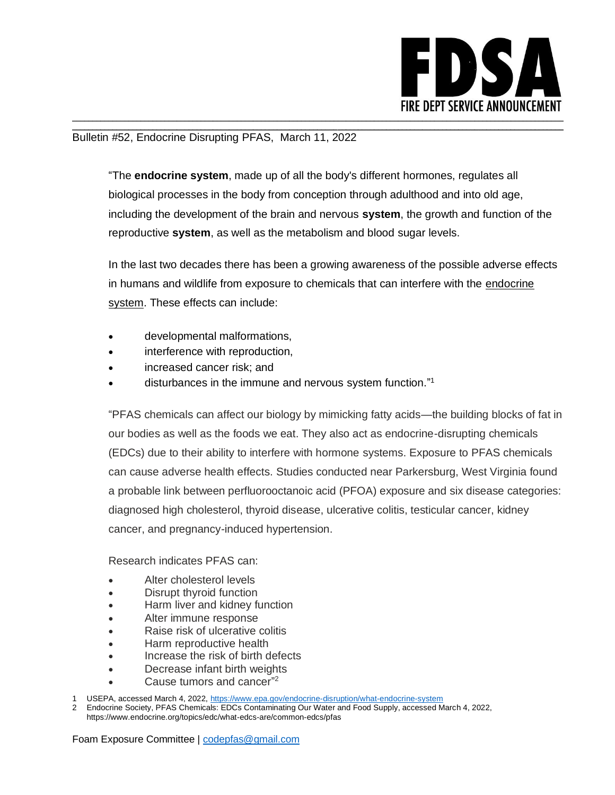

## Bulletin #52, Endocrine Disrupting PFAS, March 11, 2022

"The **endocrine system**, made up of all the body's different hormones, regulates all biological processes in the body from conception through adulthood and into old age, including the development of the brain and nervous **system**, the growth and function of the reproductive **system**, as well as the metabolism and blood sugar levels.

\_\_\_\_\_\_\_\_\_\_\_\_\_\_\_\_\_\_\_\_\_\_\_\_\_\_\_\_\_\_\_\_\_\_\_\_\_\_\_\_\_\_\_\_\_\_\_\_\_\_\_\_\_\_\_\_\_\_\_\_\_\_\_\_\_\_\_\_\_\_\_\_\_\_\_\_\_\_\_\_\_\_\_\_\_\_\_\_\_\_\_\_\_\_\_\_\_\_\_\_\_\_\_\_\_\_\_\_\_\_\_\_\_\_\_\_\_\_\_\_\_\_

In the last two decades there has been a growing awareness of the possible adverse effects in humans and wildlife from exposure to chemicals that can interfere with the [endocrine](https://www.epa.gov/endocrine-disruption/what-endocrine-system)  [system.](https://www.epa.gov/endocrine-disruption/what-endocrine-system) These effects can include:

- developmental malformations,
- interference with reproduction,
- increased cancer risk; and
- disturbances in the immune and nervous system function." 1

"PFAS chemicals can affect our biology by mimicking fatty acids—the building blocks of fat in our bodies as well as the foods we eat. They also act as endocrine-disrupting chemicals (EDCs) due to their ability to interfere with hormone systems. Exposure to PFAS chemicals can cause adverse health effects. Studies conducted near Parkersburg, West Virginia found a probable link between perfluorooctanoic acid (PFOA) exposure and six disease categories: diagnosed high cholesterol, thyroid disease, ulcerative colitis, testicular cancer, kidney cancer, and pregnancy-induced hypertension.

Research indicates PFAS can:

- Alter cholesterol levels
- Disrupt thyroid function
- Harm liver and kidney function
- Alter immune response
- Raise risk of ulcerative colitis
- Harm reproductive health
- Increase the risk of birth defects
- Decrease infant birth weights
- Cause tumors and cancer"<sup>2</sup>
- USEPA, accessed March 4, 2022[, https://www.epa.gov/endocrine-disruption/what-endocrine-system](https://www.epa.gov/endocrine-disruption/what-endocrine-system)

2 Endocrine Society, PFAS Chemicals: EDCs Contaminating Our Water and Food Supply, accessed March 4, 2022, https://www.endocrine.org/topics/edc/what-edcs-are/common-edcs/pfas

Foam Exposure Committee | [codepfas@gmail.com](mailto:codepfas@gmail.com)